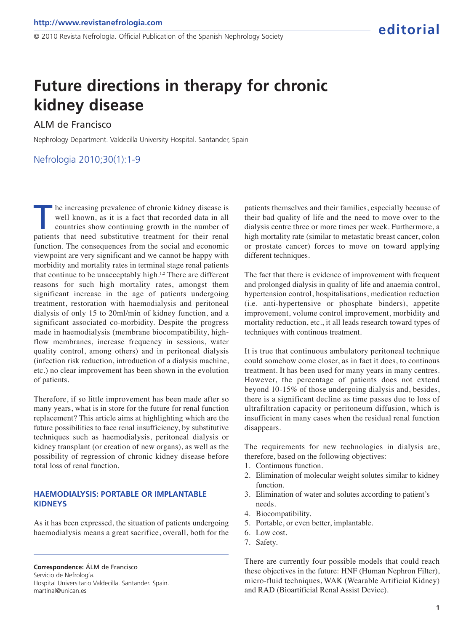© 2010 Revista Nefrología. Official Publication of the Spanish Nephrology Society

# **Future directions in therapy for chronic kidney disease**

## ALM de Francisco

Nephrology Department. Valdecilla University Hospital. Santander, Spain

## Nefrologia 2010;30(1):1-9

The increasing prevalence of chronic kidney disease is<br>well known, as it is a fact that recorded data in all<br>countries show continuing growth in the number of<br>patients that need substitutive treatment for their renal he increasing prevalence of chronic kidney disease is well known, as it is a fact that recorded data in all countries show continuing growth in the number of function. The consequences from the social and economic viewpoint are very significant and we cannot be happy with morbidity and mortality rates in terminal stage renal patients that continue to be unacceptably high.<sup>1,2</sup> There are different reasons for such high mortality rates, amongst them significant increase in the age of patients undergoing treatment, restoration with haemodialysis and peritoneal dialysis of only 15 to 20ml/min of kidney function, and a significant associated co-morbidity. Despite the progress made in haemodialysis (membrane biocompatibility, highflow membranes, increase frequency in sessions, water quality control, among others) and in peritoneal dialysis (infection risk reduction, introduction of a dialysis machine, etc.) no clear improvement has been shown in the evolution of patients.

Therefore, if so little improvement has been made after so many years, what is in store for the future for renal function replacement? This article aims at highlighting which are the future possibilities to face renal insufficiency, by substitutive techniques such as haemodialysis, peritoneal dialysis or kidney transplant (or creation of new organs), as well as the possibility of regression of chronic kidney disease before total loss of renal function.

### **HAEMODIALYSIS: PORTABLE OR IMPLANTABLE KIDNEYS**

As it has been expressed, the situation of patients undergoing haemodialysis means a great sacrifice, overall, both for the

**Correspondence:** ÁLM de Francisco Servicio de Nefrología. Hospital Universitario Valdecilla. Santander. Spain. martinal@unican.es

patients themselves and their families, especially because of their bad quality of life and the need to move over to the dialysis centre three or more times per week. Furthermore, a high mortality rate (similar to metastatic breast cancer, colon or prostate cancer) forces to move on toward applying different techniques.

The fact that there is evidence of improvement with frequent and prolonged dialysis in quality of life and anaemia control, hypertension control, hospitalisations, medication reduction (i.e. anti-hypertensive or phosphate binders), appetite improvement, volume control improvement, morbidity and mortality reduction, etc., it all leads research toward types of techniques with continous treatment.

It is true that continuous ambulatory peritoneal technique could somehow come closer, as in fact it does, to continous treatment. It has been used for many years in many centres. However, the percentage of patients does not extend beyond 10-15% of those undergoing dialysis and, besides, there is a significant decline as time passes due to loss of ultrafiltration capacity or peritoneum diffusion, which is insufficient in many cases when the residual renal function disappears.

The requirements for new technologies in dialysis are, therefore, based on the following objectives:

- 1. Continuous function.
- 2. Elimination of molecular weight solutes similar to kidney function.
- 3. Elimination of water and solutes according to patient's needs.
- 4. Biocompatibility.
- 5. Portable, or even better, implantable.
- 6. Low cost.
- 7. Safety.

There are currently four possible models that could reach these objectives in the future: HNF (Human Nephron Filter), micro-fluid techniques, WAK (Wearable Artificial Kidney) and RAD (Bioartificial Renal Assist Device).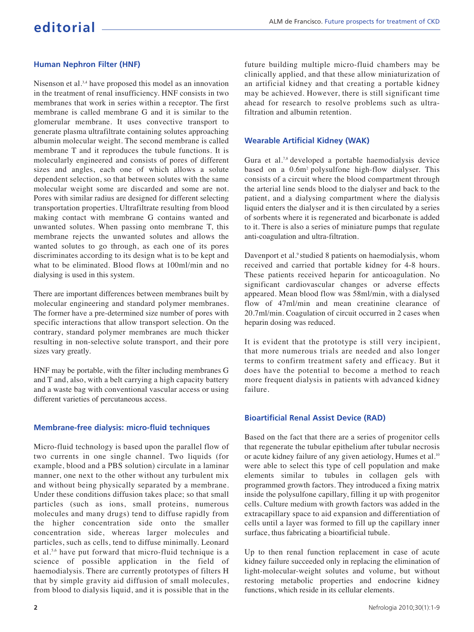## **Human Nephron Filter (HNF)**

Nisenson et al.<sup>3,4</sup> have proposed this model as an innovation in the treatment of renal insufficiency. HNF consists in two membranes that work in series within a receptor. The first membrane is called membrane G and it is similar to the glomerular membrane. It uses convective transport to generate plasma ultrafiltrate containing solutes approaching albumin molecular weight. The second membrane is called membrane T and it reproduces the tubule functions. It is molecularly engineered and consists of pores of different sizes and angles, each one of which allows a solute dependent selection, so that between solutes with the same molecular weight some are discarded and some are not. Pores with similar radius are designed for different selecting transportation properties. Ultrafiltrate resulting from blood making contact with membrane G contains wanted and unwanted solutes. When passing onto membrane T, this membrane rejects the unwanted solutes and allows the wanted solutes to go through, as each one of its pores discriminates according to its design what is to be kept and what to be eliminated. Blood flows at 100ml/min and no dialysing is used in this system.

There are important differences between membranes built by molecular engineering and standard polymer membranes. The former have a pre-determined size number of pores with specific interactions that allow transport selection. On the contrary, standard polymer membranes are much thicker resulting in non-selective solute transport, and their pore sizes vary greatly.

HNF may be portable, with the filter including membranes G and T and, also, with a belt carrying a high capacity battery and a waste bag with conventional vascular access or using different varieties of percutaneous access.

#### **Membrane-free dialysis: micro-fluid techniques**

Micro-fluid technology is based upon the parallel flow of two currents in one single channel. Two liquids (for example, blood and a PBS solution) circulate in a laminar manner, one next to the other without any turbulent mix and without being physically separated by a membrane. Under these conditions diffusion takes place; so that small particles (such as ions, small proteins, numerous molecules and many drugs) tend to diffuse rapidly from the higher concentration side onto the smaller concentration side, whereas larger molecules and particles, such as cells, tend to diffuse minimally. Leonard et al.5,6 have put forward that micro-fluid technique is a science of possible application in the field of haemodialysis. There are currently prototypes of filters H that by simple gravity aid diffusion of small molecules, from blood to dialysis liquid, and it is possible that in the

future building multiple micro-fluid chambers may be clinically applied, and that these allow miniaturization of an artificial kidney and that creating a portable kidney may be achieved. However, there is still significant time ahead for research to resolve problems such as ultrafiltration and albumin retention.

#### **Wearable Artificial Kidney (WAK)**

Gura et al.7,8 developed a portable haemodialysis device based on a 0.6m2 polysulfone high-flow dialyser. This consists of a circuit where the blood compartment through the arterial line sends blood to the dialyser and back to the patient, and a dialysing compartment where the dialysis liquid enters the dialyser and it is then circulated by a series of sorbents where it is regenerated and bicarbonate is added to it. There is also a series of miniature pumps that regulate anti-coagulation and ultra-filtration.

Davenport et al.<sup>9</sup> studied 8 patients on haemodialysis, whom received and carried that portable kidney for 4-8 hours. These patients received heparin for anticoagulation. No significant cardiovascular changes or adverse effects appeared. Mean blood flow was 58ml/min, with a dialysed flow of 47ml/min and mean creatinine clearance of 20.7ml/min. Coagulation of circuit occurred in 2 cases when heparin dosing was reduced.

It is evident that the prototype is still very incipient, that more numerous trials are needed and also longer terms to confirm treatment safety and efficacy. But it does have the potential to become a method to reach more frequent dialysis in patients with advanced kidney failure.

## **Bioartificial Renal Assist Device (RAD)**

Based on the fact that there are a series of progenitor cells that regenerate the tubular epithelium after tubular necrosis or acute kidney failure of any given aetiology, Humes et al.<sup>10</sup> were able to select this type of cell population and make elements similar to tubules in collagen gels with programmed growth factors. They introduced a fixing matrix inside the polysulfone capillary, filling it up with progenitor cells. Culture medium with growth factors was added in the extracapillary space to aid expansion and differentiation of cells until a layer was formed to fill up the capillary inner surface, thus fabricating a bioartificial tubule.

Up to then renal function replacement in case of acute kidney failure succeeded only in replacing the elimination of light-molecular-weight solutes and volume, but without restoring metabolic properties and endocrine kidney functions, which reside in its cellular elements.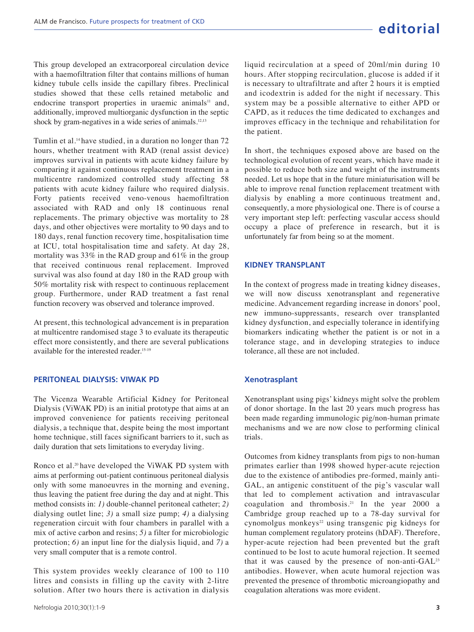This group developed an extracorporeal circulation device with a haemofiltration filter that contains millions of human kidney tubule cells inside the capillary fibres. Preclinical studies showed that these cells retained metabolic and endocrine transport properties in uraemic animals<sup>11</sup> and, additionally, improved multiorganic dysfunction in the septic shock by gram-negatives in a wide series of animals.<sup>12,13</sup>

Tumlin et al.<sup>14</sup> have studied, in a duration no longer than 72 hours, whether treatment with RAD (renal assist device) improves survival in patients with acute kidney failure by comparing it against continuous replacement treatment in a multicentre randomized controlled study affecting 58 patients with acute kidney failure who required dialysis. Forty patients received veno-venous haemofiltration associated with RAD and only 18 continuous renal replacements. The primary objective was mortality to 28 days, and other objectives were mortality to 90 days and to 180 days, renal function recovery time, hospitalisation time at ICU, total hospitalisation time and safety. At day 28, mortality was 33% in the RAD group and 61% in the group that received continuous renal replacement. Improved survival was also found at day 180 in the RAD group with 50% mortality risk with respect to continuous replacement group. Furthermore, under RAD treatment a fast renal function recovery was observed and tolerance improved.

At present, this technological advancement is in preparation at multicentre randomised stage 3 to evaluate its therapeutic effect more consistently, and there are several publications available for the interested reader.<sup>15-19</sup>

#### **PERITONEAL DIALYSIS: VIWAK PD**

The Vicenza Wearable Artificial Kidney for Peritoneal Dialysis (ViWAK PD) is an initial prototype that aims at an improved convenience for patients receiving peritoneal dialysis, a technique that, despite being the most important home technique, still faces significant barriers to it, such as daily duration that sets limitations to everyday living.

Ronco et al.<sup>20</sup> have developed the ViWAK PD system with aims at performing out-patient continuous peritoneal dialysis only with some manoeuvres in the morning and evening, thus leaving the patient free during the day and at night. This method consists in: *1)* double-channel peritoneal catheter; *2)* dialysing outlet line; *3)* a small size pump; *4)* a dialysing regeneration circuit with four chambers in parallel with a mix of active carbon and resins; *5)* a filter for microbiologic protection; *6)* an input line for the dialysis liquid, and *7)* a very small computer that is a remote control.

This system provides weekly clearance of 100 to 110 litres and consists in filling up the cavity with 2-litre solution. After two hours there is activation in dialysis liquid recirculation at a speed of 20ml/min during 10 hours. After stopping recirculation, glucose is added if it is necessary to ultrafiltrate and after 2 hours it is emptied and icodextrin is added for the night if necessary. This system may be a possible alternative to either APD or CAPD, as it reduces the time dedicated to exchanges and improves efficacy in the technique and rehabilitation for the patient.

In short, the techniques exposed above are based on the technological evolution of recent years, which have made it possible to reduce both size and weight of the instruments needed. Let us hope that in the future miniaturisation will be able to improve renal function replacement treatment with dialysis by enabling a more continuous treatment and, consequently, a more physiological one. There is of course a very important step left: perfecting vascular access should occupy a place of preference in research, but it is unfortunately far from being so at the moment.

#### **KIDNEY TRANSPLANT**

In the context of progress made in treating kidney diseases, we will now discuss xenotransplant and regenerative medicine. Advancement regarding increase in donors' pool, new immuno-suppressants, research over transplanted kidney dysfunction, and especially tolerance in identifying biomarkers indicating whether the patient is or not in a tolerance stage, and in developing strategies to induce tolerance, all these are not included.

### **Xenotrasplant**

Xenotransplant using pigs' kidneys might solve the problem of donor shortage. In the last 20 years much progress has been made regarding immunologic pig/non-human primate mechanisms and we are now close to performing clinical trials.

Outcomes from kidney transplants from pigs to non-human primates earlier than 1998 showed hyper-acute rejection due to the existence of antibodies pre-formed, mainly anti-GAL, an antigenic constituent of the pig's vascular wall that led to complement activation and intravascular coagulation and thrombosis.<sup>21</sup> In the year 2000 a Cambridge group reached up to a 78-day survival for cynomolgus monkeys<sup>22</sup> using transgenic pig kidneys for human complement regulatory proteins (hDAF). Therefore, hyper-acute rejection had been prevented but the graft continued to be lost to acute humoral rejection. It seemed that it was caused by the presence of non-anti-GAL<sup>23</sup> antibodies. However, when acute humoral rejection was prevented the presence of thrombotic microangiopathy and coagulation alterations was more evident.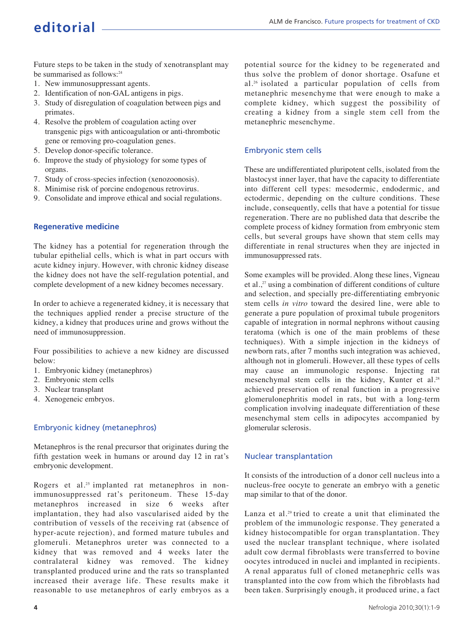## **editorial**

Future steps to be taken in the study of xenotransplant may be summarised as follows:<sup>24</sup>

- 1. New immunosuppressant agents.
- 2. Identification of non-GAL antigens in pigs.
- 3. Study of disregulation of coagulation between pigs and primates.
- 4. Resolve the problem of coagulation acting over transgenic pigs with anticoagulation or anti-thrombotic gene or removing pro-coagulation genes.
- 5. Develop donor-specific tolerance.
- 6. Improve the study of physiology for some types of organs.
- 7. Study of cross-species infection (xenozoonosis).
- 8. Minimise risk of porcine endogenous retrovirus.
- 9. Consolidate and improve ethical and social regulations.

#### **Regenerative medicine**

The kidney has a potential for regeneration through the tubular epithelial cells, which is what in part occurs with acute kidney injury. However, with chronic kidney disease the kidney does not have the self-regulation potential, and complete development of a new kidney becomes necessary.

In order to achieve a regenerated kidney, it is necessary that the techniques applied render a precise structure of the kidney, a kidney that produces urine and grows without the need of immunosuppression.

Four possibilities to achieve a new kidney are discussed below:

- 1. Embryonic kidney (metanephros)
- 2. Embryonic stem cells
- 3. Nuclear transplant
- 4. Xenogeneic embryos.

## Embryonic kidney (metanephros)

Metanephros is the renal precursor that originates during the fifth gestation week in humans or around day 12 in rat's embryonic development.

Rogers et al.<sup>25</sup> implanted rat metanephros in nonimmunosuppressed rat's peritoneum. These 15-day metanephros increased in size 6 weeks after implantation, they had also vascularised aided by the contribution of vessels of the receiving rat (absence of hyper-acute rejection), and formed mature tubules and glomeruli. Metanephros ureter was connected to a kidney that was removed and 4 weeks later the contralateral kidney was removed. The kidney transplanted produced urine and the rats so transplanted increased their average life. These results make it reasonable to use metanephros of early embryos as a

potential source for the kidney to be regenerated and thus solve the problem of donor shortage. Osafune et al.26 isolated a particular population of cells from metanephric mesenchyme that were enough to make a complete kidney, which suggest the possibility of creating a kidney from a single stem cell from the metanephric mesenchyme.

## Embryonic stem cells

These are undifferentiated pluripotent cells, isolated from the blastocyst inner layer, that have the capacity to differentiate into different cell types: mesodermic, endodermic, and ectodermic, depending on the culture conditions. These include, consequently, cells that have a potential for tissue regeneration. There are no published data that describe the complete process of kidney formation from embryonic stem cells, but several groups have shown that stem cells may differentiate in renal structures when they are injected in immunosuppressed rats.

Some examples will be provided. Along these lines, Vigneau et al.,<sup>27</sup> using a combination of different conditions of culture and selection, and specially pre-differentiating embryonic stem cells *in vitro* toward the desired line, were able to generate a pure population of proximal tubule progenitors capable of integration in normal nephrons without causing teratoma (which is one of the main problems of these techniques). With a simple injection in the kidneys of newborn rats, after 7 months such integration was achieved, although not in glomeruli. However, all these types of cells may cause an immunologic response. Injecting rat mesenchymal stem cells in the kidney, Kunter et al.<sup>28</sup> achieved preservation of renal function in a progressive glomerulonephritis model in rats, but with a long-term complication involving inadequate differentiation of these mesenchymal stem cells in adipocytes accompanied by glomerular sclerosis.

## Nuclear transplantation

It consists of the introduction of a donor cell nucleus into a nucleus-free oocyte to generate an embryo with a genetic map similar to that of the donor.

Lanza et al.29 tried to create a unit that eliminated the problem of the immunologic response. They generated a kidney histocompatible for organ transplantation. They used the nuclear transplant technique, where isolated adult cow dermal fibroblasts were transferred to bovine oocytes introduced in nuclei and implanted in recipients. A renal apparatus full of cloned metanephric cells was transplanted into the cow from which the fibroblasts had been taken. Surprisingly enough, it produced urine, a fact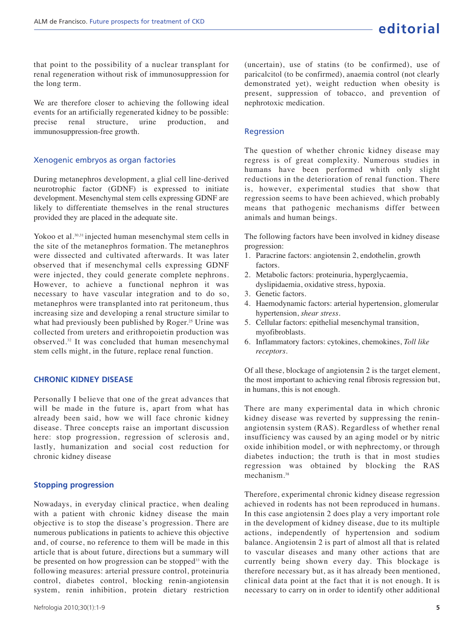that point to the possibility of a nuclear transplant for renal regeneration without risk of immunosuppression for the long term.

We are therefore closer to achieving the following ideal events for an artificially regenerated kidney to be possible: precise renal structure, urine production, and immunosuppression-free growth.

#### Xenogenic embryos as organ factories

During metanephros development, a glial cell line-derived neurotrophic factor (GDNF) is expressed to initiate development. Mesenchymal stem cells expressing GDNF are likely to differentiate themselves in the renal structures provided they are placed in the adequate site.

Yokoo et al.<sup>30,31</sup> injected human mesenchymal stem cells in the site of the metanephros formation. The metanephros were dissected and cultivated afterwards. It was later observed that if mesenchymal cells expressing GDNF were injected, they could generate complete nephrons. However, to achieve a functional nephron it was necessary to have vascular integration and to do so, metanephros were transplanted into rat peritoneum, thus increasing size and developing a renal structure similar to what had previously been published by Roger.<sup>25</sup> Urine was collected from ureters and erithropoietin production was observed.<sup>32</sup> It was concluded that human mesenchymal stem cells might, in the future, replace renal function.

#### **CHRONIC KIDNEY DISEASE**

Personally I believe that one of the great advances that will be made in the future is, apart from what has already been said, how we will face chronic kidney disease. Three concepts raise an important discussion here: stop progression, regression of sclerosis and, lastly, humanization and social cost reduction for chronic kidney disease

#### **Stopping progression**

Nowadays, in everyday clinical practice, when dealing with a patient with chronic kidney disease the main objective is to stop the disease's progression. There are numerous publications in patients to achieve this objective and, of course, no reference to them will be made in this article that is about future, directions but a summary will be presented on how progression can be stopped<sup>33</sup> with the following measures: arterial pressure control, proteinuria control, diabetes control, blocking renin-angiotensin system, renin inhibition, protein dietary restriction

(uncertain), use of statins (to be confirmed), use of paricalcitol (to be confirmed), anaemia control (not clearly demonstrated yet), weight reduction when obesity is present, suppression of tobacco, and prevention of nephrotoxic medication.

#### **Regression**

The question of whether chronic kidney disease may regress is of great complexity. Numerous studies in humans have been performed whith only slight reductions in the deterioration of renal function. There is, however, experimental studies that show that regression seems to have been achieved, which probably means that pathogenic mechanisms differ between animals and human beings.

The following factors have been involved in kidney disease progression:

- 1. Paracrine factors: angiotensin 2, endothelin, growth factors.
- 2. Metabolic factors: proteinuria, hyperglycaemia, dyslipidaemia, oxidative stress, hypoxia.
- 3. Genetic factors.
- 4. Haemodynamic factors: arterial hypertension, glomerular hypertension, *shear stress*.
- 5. Cellular factors: epithelial mesenchymal transition, myofibroblasts.
- 6. Inflammatory factors: cytokines, chemokines, *Toll like receptors*.

Of all these, blockage of angiotensin 2 is the target element, the most important to achieving renal fibrosis regression but, in humans, this is not enough.

There are many experimental data in which chronic kidney disease was reverted by suppressing the reninangiotensin system (RAS). Regardless of whether renal insufficiency was caused by an aging model or by nitric oxide inhibition model, or with nephrectomy, or through diabetes induction; the truth is that in most studies regression was obtained by blocking the RAS mechanism.<sup>38</sup>

Therefore, experimental chronic kidney disease regression achieved in rodents has not been reproduced in humans. In this case angiotensin 2 does play a very important role in the development of kidney disease, due to its multiple actions, independently of hypertension and sodium balance. Angiotensin 2 is part of almost all that is related to vascular diseases and many other actions that are currently being shown every day. This blockage is therefore necessary but, as it has already been mentioned, clinical data point at the fact that it is not enough. It is necessary to carry on in order to identify other additional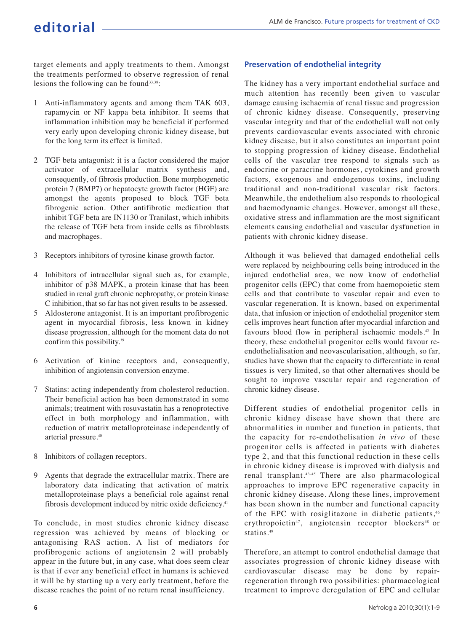target elements and apply treatments to them. Amongst the treatments performed to observe regression of renal lesions the following can be found<sup>33,38</sup>:

- 1 Anti-inflammatory agents and among them TAK 603, rapamycin or NF kappa beta inhibitor. It seems that inflammation inhibition may be beneficial if performed very early upon developing chronic kidney disease, but for the long term its effect is limited.
- 2 TGF beta antagonist: it is a factor considered the major activator of extracellular matrix synthesis and, consequently, of fibrosis production. Bone morphogenetic protein 7 (BMP7) or hepatocyte growth factor (HGF) are amongst the agents proposed to block TGF beta fibrogenic action. Other antifibrotic medication that inhibit TGF beta are IN1130 or Tranilast, which inhibits the release of TGF beta from inside cells as fibroblasts and macrophages.
- 3 Receptors inhibitors of tyrosine kinase growth factor.
- 4 Inhibitors of intracellular signal such as, for example, inhibitor of p38 MAPK, a protein kinase that has been studied in renal graft chronic nephropathy, or protein kinase C inhibition, that so far has not given results to be assessed.
- 5 Aldosterone antagonist. It is an important profibrogenic agent in myocardial fibrosis, less known in kidney disease progression, although for the moment data do not confirm this possibility.<sup>39</sup>
- 6 Activation of kinine receptors and, consequently, inhibition of angiotensin conversion enzyme.
- 7 Statins: acting independently from cholesterol reduction. Their beneficial action has been demonstrated in some animals; treatment with rosuvastatin has a renoprotective effect in both morphology and inflammation, with reduction of matrix metalloproteinase independently of arterial pressure.<sup>40</sup>
- 8 Inhibitors of collagen receptors.
- 9 Agents that degrade the extracellular matrix. There are laboratory data indicating that activation of matrix metalloproteinase plays a beneficial role against renal fibrosis development induced by nitric oxide deficiency.<sup>41</sup>

To conclude, in most studies chronic kidney disease regression was achieved by means of blocking or antagonising RAS action. A list of mediators for profibrogenic actions of angiotensin 2 will probably appear in the future but, in any case, what does seem clear is that if ever any beneficial effect in humans is achieved it will be by starting up a very early treatment, before the disease reaches the point of no return renal insufficiency.

## **Preservation of endothelial integrity**

The kidney has a very important endothelial surface and much attention has recently been given to vascular damage causing ischaemia of renal tissue and progression of chronic kidney disease. Consequently, preserving vascular integrity and that of the endothelial wall not only prevents cardiovascular events associated with chronic kidney disease, but it also constitutes an important point to stopping progression of kidney disease. Endothelial cells of the vascular tree respond to signals such as endocrine or paracrine hormones, cytokines and growth factors, exogenous and endogenous toxins, including traditional and non-traditional vascular risk factors. Meanwhile, the endothelium also responds to rheological and haemodynamic changes. However, amongst all these, oxidative stress and inflammation are the most significant elements causing endothelial and vascular dysfunction in patients with chronic kidney disease.

Although it was believed that damaged endothelial cells were replaced by neighbouring cells being introduced in the injured endothelial area, we now know of endothelial progenitor cells (EPC) that come from haemopoietic stem cells and that contribute to vascular repair and even to vascular regeneration. It is known, based on experimental data, that infusion or injection of endothelial progenitor stem cells improves heart function after myocardial infarction and favours blood flow in peripheral ischaemic models.<sup>42</sup> In theory, these endothelial progenitor cells would favour reendothelialisation and neovascularisation, although, so far, studies have shown that the capacity to differentiate in renal tissues is very limited, so that other alternatives should be sought to improve vascular repair and regeneration of chronic kidney disease.

Different studies of endothelial progenitor cells in chronic kidney disease have shown that there are abnormalities in number and function in patients, that the capacity for re-endothelisation *in vivo* of these progenitor cells is affected in patients with diabetes type 2, and that this functional reduction in these cells in chronic kidney disease is improved with dialysis and renal transplant.43-45 There are also pharmacological approaches to improve EPC regenerative capacity in chronic kidney disease. Along these lines, improvement has been shown in the number and functional capacity of the EPC with rosiglitazone in diabetic patients,<sup>46</sup> erythropoietin<sup>47</sup>, angiotensin receptor blockers<sup>48</sup> or statins.<sup>49</sup>

Therefore, an attempt to control endothelial damage that associates progression of chronic kidney disease with cardiovascular disease may be done by repairregeneration through two possibilities: pharmacological treatment to improve deregulation of EPC and cellular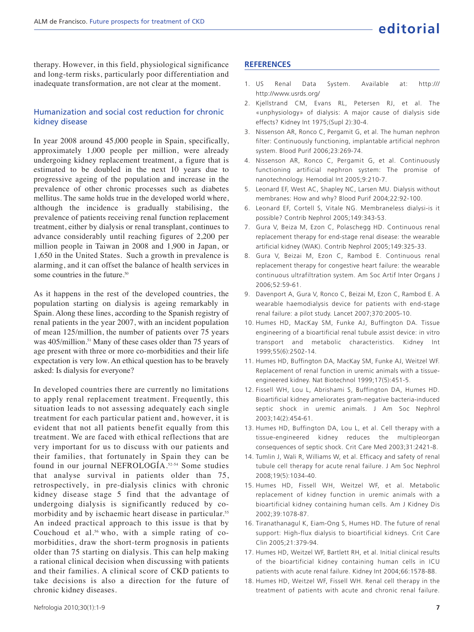therapy. However, in this field, physiological significance and long-term risks, particularly poor differentiation and inadequate transformation, are not clear at the moment.

## Humanization and social cost reduction for chronic kidney disease

In year 2008 around 45,000 people in Spain, specifically, approximately 1,000 people per million, were already undergoing kidney replacement treatment, a figure that is estimated to be doubled in the next 10 years due to progressive ageing of the population and increase in the prevalence of other chronic processes such as diabetes mellitus. The same holds true in the developed world where, although the incidence is gradually stabilising, the prevalence of patients receiving renal function replacement treatment, either by dialysis or renal transplant, continues to advance considerably until reaching figures of 2,200 per million people in Taiwan in 2008 and 1,900 in Japan, or 1 1,650 in the United States. Such a growth in prevalence is alarming, and it can offset the balance of health services in some countries in the future.<sup>50</sup>

As it happens in the rest of the developed countries, the population starting on dialysis is ageing remarkably in Spain. Along these lines, according to the Spanish registry of renal patients in the year 2007, with an incident population of mean 125/million, the number of patients over 75 years was 405/million.<sup>51</sup> Many of these cases older than 75 years of age present with three or more co-morbidities and their life expectation is very low. An ethical question has to be bravely asked: Is dialysis for everyone?

In developed countries there are currently no limitations to apply renal replacement treatment. Frequently, this situation leads to not assessing adequately each single treatment for each particular patient and, however, it is evident that not all patients benefit equally from this treatment. We are faced with ethical reflections that are very important for us to discuss with our patients and their families, that fortunately in Spain they can be found in our journal NEFROLOGÍA.52-54 Some studies that analyse survival in patients older than 75, retrospectively, in pre-dialysis clinics with chronic kidney disease stage 5 find that the advantage of undergoing dialysis is significantly reduced by comorbidity and by ischaemic heart disease in particular.<sup>55</sup> An indeed practical approach to this issue is that by Couchoud et al.<sup>56</sup> who, with a simple rating of comorbidities, draw the short-term prognosis in patients older than 75 starting on dialysis. This can help making a rational clinical decision when discussing with patients and their families. A clinical score of CKD patients to take decisions is also a direction for the future of chronic kidney diseases.

## **REFERENCES**

- 1. US Renal Data System. Available at: http:/// http://www.usrds.org/
- 2. Kjellstrand CM, Evans RL, Petersen RJ, et al. The «unphysiology» of dialysis: A major cause of dialysis side effects? Kidney Int 1975;(Supl 2):30-4.
- 3. Nissenson AR, Ronco C, Pergamit G, et al. The human nephron filter: Continuously functioning, implantable artificial nephron system. Blood Purif 2006;23:269-74.
- 4. Nissenson AR, Ronco C, Pergamit G, et al. Continuously functioning artificial nephron system: The promise of nanotechnology. Hemodial Int 2005;9:210-7.
- 5. Leonard EF, West AC, Shapley NC, Larsen MU. Dialysis without membranes: How and why? Blood Purif 2004;22:92-100.
- 6. Leonard EF, Cortell S, Vitale NG. Membraneless dialysi-is it possible? Contrib Nephrol 2005;149:343-53.
- 7. Gura V, Beiza M, Ezon C, Polaschegg HD. Continuous renal replacement therapy for end-stage renal disease: the wearable artificial kidney (WAK). Contrib Nephrol 2005;149:325-33.
- 8. Gura V, Beizai M, Ezon C, Rambod E. Continuous renal replacement therapy for congestive heart failure: the wearable continuous ultrafiltration system. Am Soc Artif Inter Organs J 2006;52:59-61.
- 9. Davenport A, Gura V, Ronco C, Beizai M, Ezon C, Rambod E. A wearable haemodialysis device for patients with end-stage renal failure: a pilot study. Lancet 2007;370:2005-10.
- 10. Humes HD, MacKay SM, Funke AJ, Buffington DA. Tissue engineering of a bioartificial renal tubule assist device: in vitro transport and metabolic characteristics. Kidney Int 1999;55(6):2502-14.
- 11. Humes HD, Buffington DA, MacKay SM, Funke AJ, Weitzel WF. Replacement of renal function in uremic animals with a tissueengineered kidney. Nat Biotechnol 1999;17(5):451-5.
- 12. Fissell WH, Lou L, Abrishami S, Buffington DA, Humes HD. Bioartificial kidney ameliorates gram-negative bacteria-induced septic shock in uremic animals. J Am Soc Nephrol 2003;14(2):454-61.
- 13. Humes HD, Buffington DA, Lou L, et al. Cell therapy with a tissue-engineered kidney reduces the multipleorgan consequences of septic shock. Crit Care Med 2003;31:2421-8.
- 14. Tumlin J, Wali R, Williams W, et al. Efficacy and safety of renal tubule cell therapy for acute renal failure. J Am Soc Nephrol 2008;19(5):1034-40.
- 15. Humes HD, Fissell WH, Weitzel WF, et al. Metabolic replacement of kidney function in uremic animals with a bioartificial kidney containing human cells. Am J Kidney Dis 2002;39:1078-87.
- 16. Tiranathanagul K, Eiam-Ong S, Humes HD. The future of renal support: High-flux dialysis to bioartificial kidneys. Crit Care Clin 2005;21:379-94.
- 17. Humes HD, Weitzel WF, Bartlett RH, et al. Initial clinical results of the bioartificial kidney containing human cells in ICU patients with acute renal failure. Kidney Int 2004;66:1578-88.
- 18. Humes HD, Weitzel WF, Fissell WH. Renal cell therapy in the treatment of patients with acute and chronic renal failure.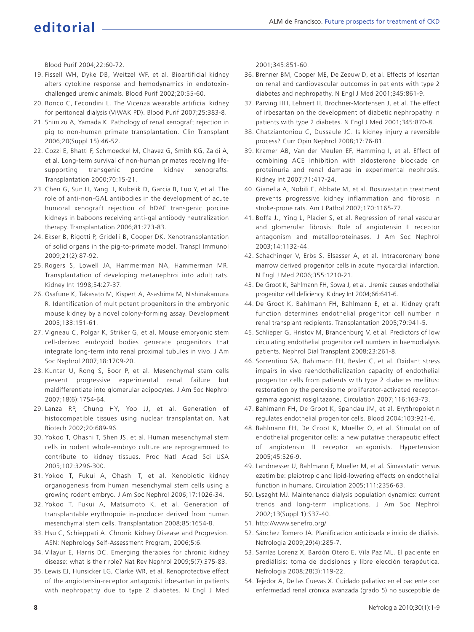## **editorial**

Blood Purif 2004;22:60-72.

- 19. Fissell WH, Dyke DB, Weitzel WF, et al. Bioartificial kidney alters cytokine response and hemodynamics in endotoxinchallenged uremic animals. Blood Purif 2002;20:55-60.
- 20. Ronco C, Fecondini L. The Vicenza wearable artificial kidney for peritoneal dialysis (ViWAK PD). Blood Purif 2007;25:383-8.
- 21. Shimizu A, Yamada K. Pathology of renal xenograft rejection in pig to non-human primate transplantation. Clin Transplant 2006;20(Suppl 15):46-52.
- 22. Cozzi E, Bhatti F, Schmoeckel M, Chavez G, Smith KG, Zaidi A, et al. Long-term survival of non-human primates receiving lifesupporting transgenic porcine kidney xenografts. Transplantation 2000;70:15-21.
- 23. Chen G, Sun H, Yang H, Kubelik D, Garcia B, Luo Y, et al. The role of anti-non-GAL antibodies in the development of acute humoral xenograft rejection of hDAF transgenic porcine kidneys in baboons receiving anti-gal antibody neutralization therapy. Transplantation 2006;81:273-83.
- 24. Ekser B, Rigotti P, Gridelli B, Cooper DK. Xenotransplantation of solid organs in the pig-to-primate model. Transpl Immunol 2009;21(2):87-92.
- 25. Rogers S, Lowell JA, Hammerman NA, Hammerman MR. Transplantation of developing metanephroi into adult rats. Kidney Int 1998;54:27-37.
- 26. Osafune K, Takasato M, Kispert A, Asashima M, Nishinakamura R. Identification of multipotent progenitors in the embryonic mouse kidney by a novel colony-forming assay. Development 2005;133:151-61.
- 27. Vigneau C, Polgar K, Striker G, et al. Mouse embryonic stem cell-derived embryoid bodies generate progenitors that integrate long-term into renal proximal tubules in vivo. J Am Soc Nephrol 2007;18:1709-20.
- 28. Kunter U, Rong S, Boor P, et al. Mesenchymal stem cells prevent progressive experimental renal failure but maldifferentiate into glomerular adipocytes. J Am Soc Nephrol 2007;18(6):1754-64.
- 29. Lanza RP, Chung HY, Yoo JJ, et al. Generation of histocompatible tissues using nuclear transplantation. Nat Biotech 2002;20:689-96.
- 30. Yokoo T, Ohashi T, Shen JS, et al. Human mesenchymal stem cells in rodent whole-embryo culture are reprogrammed to contribute to kidney tissues. Proc Natl Acad Sci USA 2005;102:3296-300.
- 31. Yokoo T, Fukui A, Ohashi T, et al. Xenobiotic kidney organogenesis from human mesenchymal stem cells using a growing rodent embryo. J Am Soc Nephrol 2006;17:1026-34.
- 32. Yokoo T, Fukui A, Matsumoto K, et al. Generation of transplantable erythropoietin-producer derived from human mesenchymal stem cells. Transplantation 2008;85:1654-8.
- 33. Hsu C, Schieppati A. Chronic Kidney Disease and Progresion. ASN: Nephrology Self-Assessment Program, 2006;5:6.
- 34. Vilayur E, Harris DC. Emerging therapies for chronic kidney disease: what is their role? Nat Rev Nephrol 2009;5(7):375-83.
- 35. Lewis EJ, Hunsicker LG, Clarke WR, et al. Renoprotective effect of the angiotensin-receptor antagonist irbesartan in patients with nephropathy due to type 2 diabetes. N Engl J Med

2001;345:851-60.

- 36. Brenner BM, Cooper ME, De Zeeuw D, et al. Effects of losartan on renal and cardiovascular outcomes in patients with type 2 diabetes and nephropathy. N Engl J Med 2001;345:861-9.
- 37. Parving HH, Lehnert H, Brochner-Mortensen J, et al. The effect of irbesartan on the development of diabetic nephropathy in patients with type 2 diabetes. N Engl J Med 2001;345:870-8.
- 38. Chatziantoniou C, Dussaule JC. Is kidney injury a reversible process? Curr Opin Nephrol 2008;17:76-81.
- 39. Kramer AB, Van der Meulen EF, Hamming I, et al. Effect of combining ACE inhibition with aldosterone blockade on proteinuria and renal damage in experimental nephrosis. Kidney Int 2007;71:417-24.
- 40. Gianella A, Nobili E, Abbate M, et al. Rosuvastatin treatment prevents progressive kidney inflammation and fibrosis in stroke-prone rats. Am J Pathol 2007;170:1165-77.
- 41. Boffa JJ, Ying L, Placier S, et al. Regression of renal vascular and glomerular fibrosis: Role of angiotensin II receptor antagonism and metalloproteinases. J Am Soc Nephrol 2003;14:1132-44.
- 42. Schachinger V, Erbs S, Elsasser A, et al. Intracoronary bone marrow derived progenitor cells in acute myocardial infarction. N Engl J Med 2006;355:1210-21.
- 43. De Groot K, Bahlmann FH, Sowa J, et al. Uremia causes endothelial progenitor cell deficiency. Kidney Int 2004;66:641-6.
- 44. De Groot K, Bahlmann FH, Bahlmann E, et al. Kidney graft function determines endothelial progenitor cell number in renal transplant recipients. Transplantation 2005;79:941-5.
- 45. Schlieper G, Hristov M, Brandenburg V, et al. Predictors of low circulating endothelial progenitor cell numbers in haemodialysis patients. Nephrol Dial Transplant 2008;23:261-8.
- 46. Sorrentino SA, Bahlmann FH, Besler C, et al. Oxidant stress impairs in vivo reendothelialization capacity of endothelial progenitor cells from patients with type 2 diabetes mellitus: restoration by the peroxisome proliferator-activated receptorgamma agonist rosiglitazone. Circulation 2007;116:163-73.
- 47. Bahlmann FH, De Groot K, Spandau JM, et al. Erythropoietin regulates endothelial progenitor cells. Blood 2004;103:921-6.
- 48. Bahlmann FH, De Groot K, Mueller O, et al. Stimulation of endothelial progenitor cells: a new putative therapeutic effect of angiotensin II receptor antagonists. Hypertension 2005;45:526-9.
- 49. Landmesser U, Bahlmann F, Mueller M, et al. Simvastatin versus ezetimibe: pleiotropic and lipid-lowering effects on endothelial function in humans. Circulation 2005;111:2356-63.
- 50. Lysaght MJ. Maintenance dialysis population dynamics: current trends and long-term implications. J Am Soc Nephrol 2002;13(Suppl 1):S37-40.
- 51. http://www.senefro.org/
- 52. Sánchez Tomero JA. Planificación anticipada e inicio de diálisis. Nefrologia 2009;29(4):285-7.
- 53. Sarrías Lorenz X, Bardón Otero E, Vila Paz ML. El paciente en prediálisis: toma de decisiones y libre elección terapéutica. Nefrologia 2008;28(3):119-22.
- 54. Tejedor A, De las Cuevas X. Cuidado paliativo en el paciente con enfermedad renal crónica avanzada (grado 5) no susceptible de